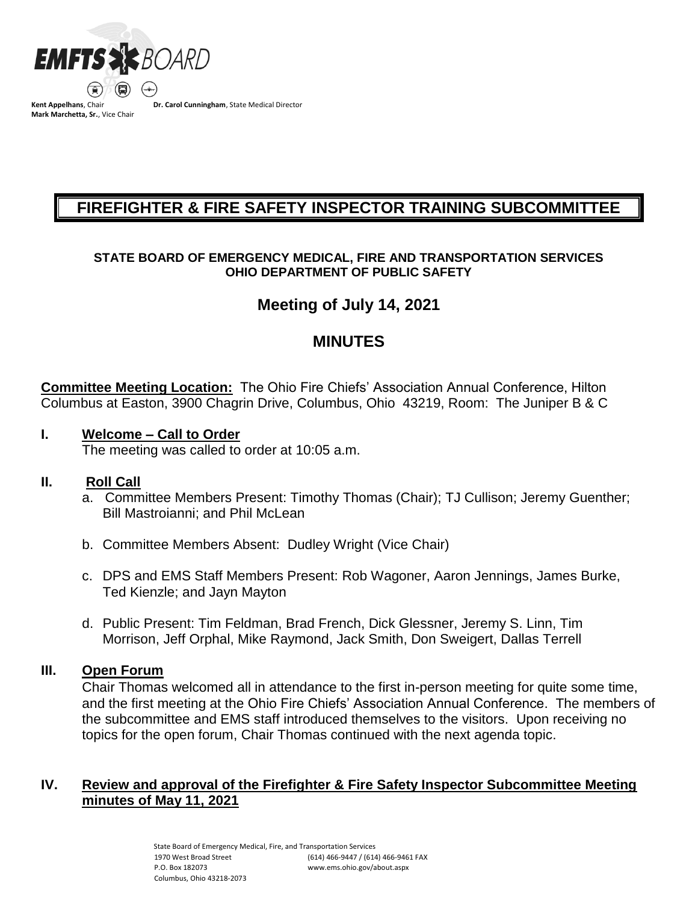

**Mark Marchetta, Sr.**, Vice Chair

**Dr. Carol Cunningham**, State Medical Director

# **FIREFIGHTER & FIRE SAFETY INSPECTOR TRAINING SUBCOMMITTEE**

### **STATE BOARD OF EMERGENCY MEDICAL, FIRE AND TRANSPORTATION SERVICES OHIO DEPARTMENT OF PUBLIC SAFETY**

# **Meeting of July 14, 2021**

# **MINUTES**

**Committee Meeting Location:** The Ohio Fire Chiefs' Association Annual Conference, Hilton Columbus at Easton, 3900 Chagrin Drive, Columbus, Ohio 43219, Room: The Juniper B & C

## **I. Welcome – Call to Order**

The meeting was called to order at 10:05 a.m.

# **II. Roll Call**

- a. Committee Members Present: Timothy Thomas (Chair); TJ Cullison; Jeremy Guenther; Bill Mastroianni; and Phil McLean
- b. Committee Members Absent: Dudley Wright (Vice Chair)
- c. DPS and EMS Staff Members Present: Rob Wagoner, Aaron Jennings, James Burke, Ted Kienzle; and Jayn Mayton
- d. Public Present: Tim Feldman, Brad French, Dick Glessner, Jeremy S. Linn, Tim Morrison, Jeff Orphal, Mike Raymond, Jack Smith, Don Sweigert, Dallas Terrell

### **III. Open Forum**

Chair Thomas welcomed all in attendance to the first in-person meeting for quite some time, and the first meeting at the Ohio Fire Chiefs' Association Annual Conference. The members of the subcommittee and EMS staff introduced themselves to the visitors. Upon receiving no topics for the open forum, Chair Thomas continued with the next agenda topic.

## **IV. Review and approval of the Firefighter & Fire Safety Inspector Subcommittee Meeting minutes of May 11, 2021**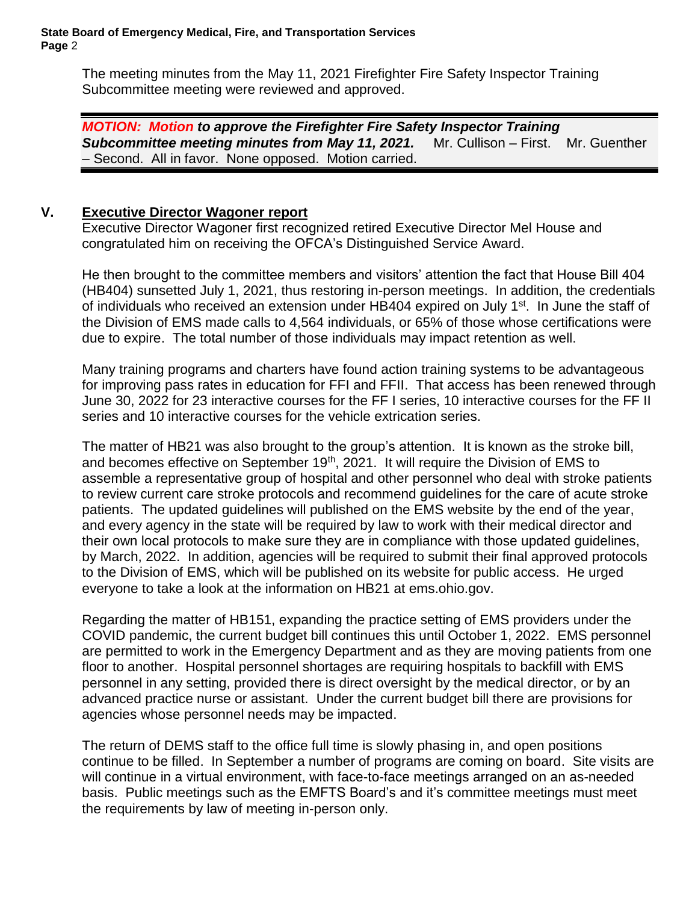The meeting minutes from the May 11, 2021 Firefighter Fire Safety Inspector Training Subcommittee meeting were reviewed and approved.

*MOTION: Motion to approve the Firefighter Fire Safety Inspector Training Subcommittee meeting minutes from May 11, 2021.*Mr. Cullison – First. Mr. Guenther – Second. All in favor. None opposed. Motion carried.

## **V. Executive Director Wagoner report**

Executive Director Wagoner first recognized retired Executive Director Mel House and congratulated him on receiving the OFCA's Distinguished Service Award.

He then brought to the committee members and visitors' attention the fact that House Bill 404 (HB404) sunsetted July 1, 2021, thus restoring in-person meetings. In addition, the credentials of individuals who received an extension under HB404 expired on July 1<sup>st</sup>. In June the staff of the Division of EMS made calls to 4,564 individuals, or 65% of those whose certifications were due to expire. The total number of those individuals may impact retention as well.

Many training programs and charters have found action training systems to be advantageous for improving pass rates in education for FFI and FFII. That access has been renewed through June 30, 2022 for 23 interactive courses for the FF I series, 10 interactive courses for the FF II series and 10 interactive courses for the vehicle extrication series.

The matter of HB21 was also brought to the group's attention. It is known as the stroke bill, and becomes effective on September  $19<sup>th</sup>$ , 2021. It will require the Division of EMS to assemble a representative group of hospital and other personnel who deal with stroke patients to review current care stroke protocols and recommend guidelines for the care of acute stroke patients. The updated guidelines will published on the EMS website by the end of the year, and every agency in the state will be required by law to work with their medical director and their own local protocols to make sure they are in compliance with those updated guidelines, by March, 2022. In addition, agencies will be required to submit their final approved protocols to the Division of EMS, which will be published on its website for public access. He urged everyone to take a look at the information on HB21 at ems.ohio.gov.

Regarding the matter of HB151, expanding the practice setting of EMS providers under the COVID pandemic, the current budget bill continues this until October 1, 2022. EMS personnel are permitted to work in the Emergency Department and as they are moving patients from one floor to another. Hospital personnel shortages are requiring hospitals to backfill with EMS personnel in any setting, provided there is direct oversight by the medical director, or by an advanced practice nurse or assistant. Under the current budget bill there are provisions for agencies whose personnel needs may be impacted.

The return of DEMS staff to the office full time is slowly phasing in, and open positions continue to be filled. In September a number of programs are coming on board. Site visits are will continue in a virtual environment, with face-to-face meetings arranged on an as-needed basis. Public meetings such as the EMFTS Board's and it's committee meetings must meet the requirements by law of meeting in-person only.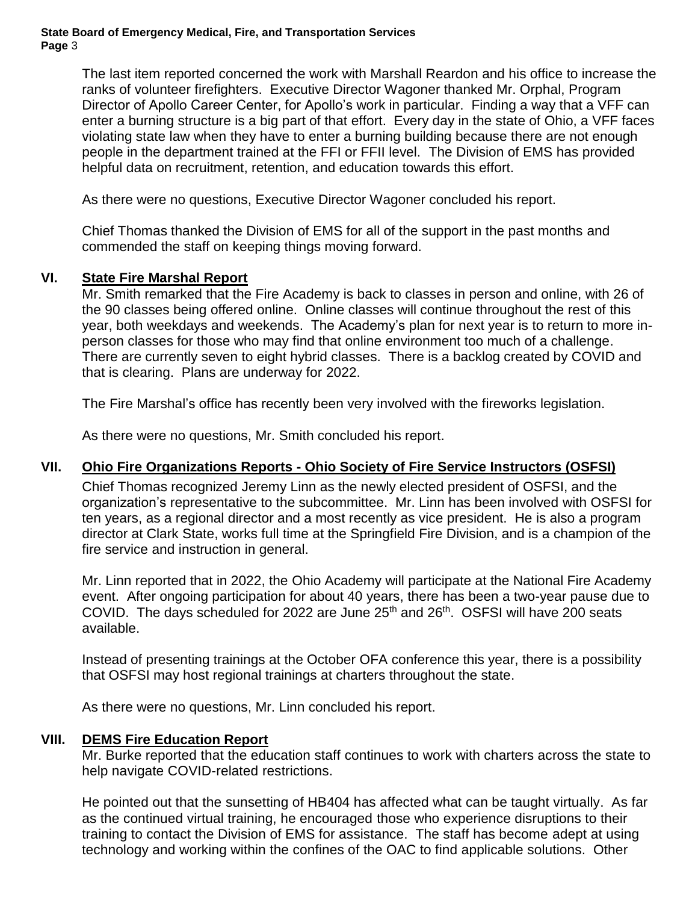The last item reported concerned the work with Marshall Reardon and his office to increase the ranks of volunteer firefighters. Executive Director Wagoner thanked Mr. Orphal, Program Director of Apollo Career Center, for Apollo's work in particular. Finding a way that a VFF can enter a burning structure is a big part of that effort. Every day in the state of Ohio, a VFF faces violating state law when they have to enter a burning building because there are not enough people in the department trained at the FFI or FFII level. The Division of EMS has provided helpful data on recruitment, retention, and education towards this effort.

As there were no questions, Executive Director Wagoner concluded his report.

Chief Thomas thanked the Division of EMS for all of the support in the past months and commended the staff on keeping things moving forward.

### **VI. State Fire Marshal Report**

Mr. Smith remarked that the Fire Academy is back to classes in person and online, with 26 of the 90 classes being offered online. Online classes will continue throughout the rest of this year, both weekdays and weekends. The Academy's plan for next year is to return to more inperson classes for those who may find that online environment too much of a challenge. There are currently seven to eight hybrid classes. There is a backlog created by COVID and that is clearing. Plans are underway for 2022.

The Fire Marshal's office has recently been very involved with the fireworks legislation.

As there were no questions, Mr. Smith concluded his report.

### **VII. Ohio Fire Organizations Reports - Ohio Society of Fire Service Instructors (OSFSI)**

Chief Thomas recognized Jeremy Linn as the newly elected president of OSFSI, and the organization's representative to the subcommittee. Mr. Linn has been involved with OSFSI for ten years, as a regional director and a most recently as vice president. He is also a program director at Clark State, works full time at the Springfield Fire Division, and is a champion of the fire service and instruction in general.

Mr. Linn reported that in 2022, the Ohio Academy will participate at the National Fire Academy event. After ongoing participation for about 40 years, there has been a two-year pause due to COVID. The days scheduled for 2022 are June  $25<sup>th</sup>$  and  $26<sup>th</sup>$ . OSFSI will have 200 seats available.

Instead of presenting trainings at the October OFA conference this year, there is a possibility that OSFSI may host regional trainings at charters throughout the state.

As there were no questions, Mr. Linn concluded his report.

### **VIII. DEMS Fire Education Report**

Mr. Burke reported that the education staff continues to work with charters across the state to help navigate COVID-related restrictions.

He pointed out that the sunsetting of HB404 has affected what can be taught virtually. As far as the continued virtual training, he encouraged those who experience disruptions to their training to contact the Division of EMS for assistance. The staff has become adept at using technology and working within the confines of the OAC to find applicable solutions. Other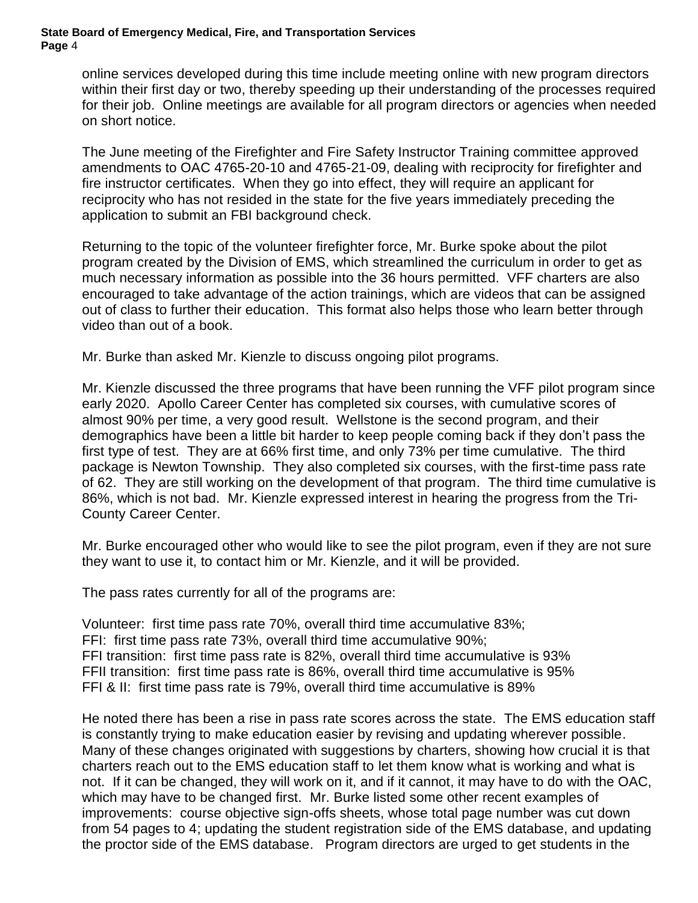online services developed during this time include meeting online with new program directors within their first day or two, thereby speeding up their understanding of the processes required for their job. Online meetings are available for all program directors or agencies when needed on short notice.

The June meeting of the Firefighter and Fire Safety Instructor Training committee approved amendments to OAC 4765-20-10 and 4765-21-09, dealing with reciprocity for firefighter and fire instructor certificates. When they go into effect, they will require an applicant for reciprocity who has not resided in the state for the five years immediately preceding the application to submit an FBI background check.

Returning to the topic of the volunteer firefighter force, Mr. Burke spoke about the pilot program created by the Division of EMS, which streamlined the curriculum in order to get as much necessary information as possible into the 36 hours permitted. VFF charters are also encouraged to take advantage of the action trainings, which are videos that can be assigned out of class to further their education. This format also helps those who learn better through video than out of a book.

Mr. Burke than asked Mr. Kienzle to discuss ongoing pilot programs.

Mr. Kienzle discussed the three programs that have been running the VFF pilot program since early 2020. Apollo Career Center has completed six courses, with cumulative scores of almost 90% per time, a very good result. Wellstone is the second program, and their demographics have been a little bit harder to keep people coming back if they don't pass the first type of test. They are at 66% first time, and only 73% per time cumulative. The third package is Newton Township. They also completed six courses, with the first-time pass rate of 62. They are still working on the development of that program. The third time cumulative is 86%, which is not bad. Mr. Kienzle expressed interest in hearing the progress from the Tri-County Career Center.

Mr. Burke encouraged other who would like to see the pilot program, even if they are not sure they want to use it, to contact him or Mr. Kienzle, and it will be provided.

The pass rates currently for all of the programs are:

Volunteer: first time pass rate 70%, overall third time accumulative 83%; FFI: first time pass rate 73%, overall third time accumulative 90%; FFI transition: first time pass rate is 82%, overall third time accumulative is 93% FFII transition: first time pass rate is 86%, overall third time accumulative is 95% FFI & II: first time pass rate is 79%, overall third time accumulative is 89%

He noted there has been a rise in pass rate scores across the state. The EMS education staff is constantly trying to make education easier by revising and updating wherever possible. Many of these changes originated with suggestions by charters, showing how crucial it is that charters reach out to the EMS education staff to let them know what is working and what is not. If it can be changed, they will work on it, and if it cannot, it may have to do with the OAC, which may have to be changed first. Mr. Burke listed some other recent examples of improvements: course objective sign-offs sheets, whose total page number was cut down from 54 pages to 4; updating the student registration side of the EMS database, and updating the proctor side of the EMS database. Program directors are urged to get students in the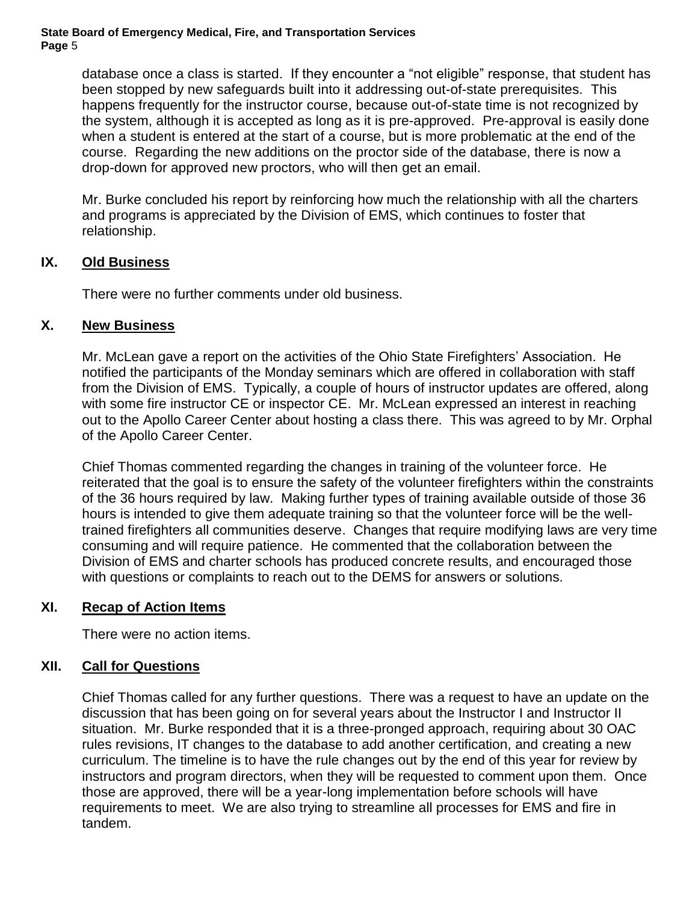database once a class is started. If they encounter a "not eligible" response, that student has been stopped by new safeguards built into it addressing out-of-state prerequisites. This happens frequently for the instructor course, because out-of-state time is not recognized by the system, although it is accepted as long as it is pre-approved. Pre-approval is easily done when a student is entered at the start of a course, but is more problematic at the end of the course. Regarding the new additions on the proctor side of the database, there is now a drop-down for approved new proctors, who will then get an email.

Mr. Burke concluded his report by reinforcing how much the relationship with all the charters and programs is appreciated by the Division of EMS, which continues to foster that relationship.

### **IX. Old Business**

There were no further comments under old business.

### **X. New Business**

Mr. McLean gave a report on the activities of the Ohio State Firefighters' Association. He notified the participants of the Monday seminars which are offered in collaboration with staff from the Division of EMS. Typically, a couple of hours of instructor updates are offered, along with some fire instructor CE or inspector CE. Mr. McLean expressed an interest in reaching out to the Apollo Career Center about hosting a class there. This was agreed to by Mr. Orphal of the Apollo Career Center.

Chief Thomas commented regarding the changes in training of the volunteer force. He reiterated that the goal is to ensure the safety of the volunteer firefighters within the constraints of the 36 hours required by law. Making further types of training available outside of those 36 hours is intended to give them adequate training so that the volunteer force will be the welltrained firefighters all communities deserve. Changes that require modifying laws are very time consuming and will require patience. He commented that the collaboration between the Division of EMS and charter schools has produced concrete results, and encouraged those with questions or complaints to reach out to the DEMS for answers or solutions.

### **XI. Recap of Action Items**

There were no action items.

### **XII. Call for Questions**

Chief Thomas called for any further questions. There was a request to have an update on the discussion that has been going on for several years about the Instructor I and Instructor II situation. Mr. Burke responded that it is a three-pronged approach, requiring about 30 OAC rules revisions, IT changes to the database to add another certification, and creating a new curriculum. The timeline is to have the rule changes out by the end of this year for review by instructors and program directors, when they will be requested to comment upon them. Once those are approved, there will be a year-long implementation before schools will have requirements to meet. We are also trying to streamline all processes for EMS and fire in tandem.